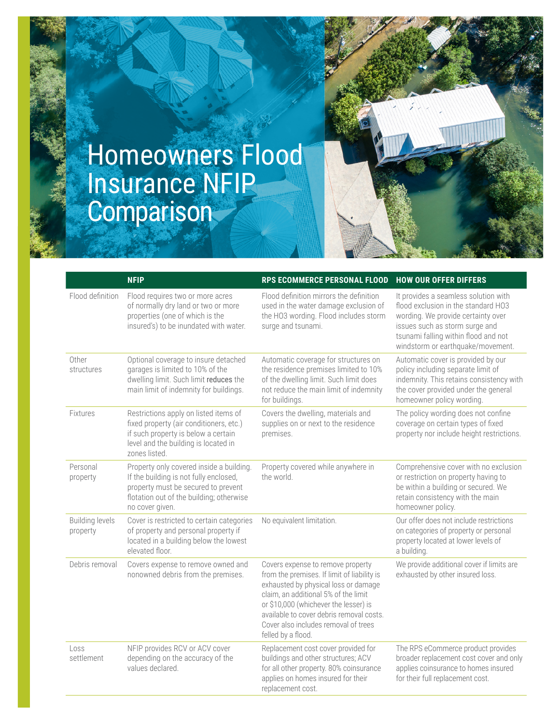## Homeowners Flood Insurance NFIP **Comparison**